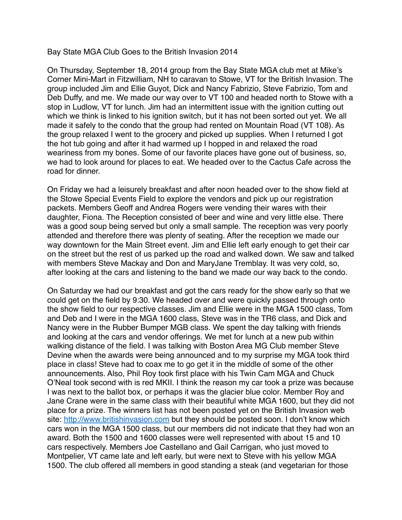Bay State MGA Club Goes to the British Invasion 2014

On Thursday, September 18, 2014 group from the Bay State MGA club met at Mike's Corner Mini-Mart in Fitzwilliam, NH to caravan to Stowe, VT for the British Invasion. The group included Jim and Ellie Guyot, Dick and Nancy Fabrizio, Steve Fabrizio, Tom and Deb Duffy, and me. We made our way over to VT 100 and headed north to Stowe with a stop in Ludlow, VT for lunch. Jim had an intermittent issue with the ignition cutting out which we think is linked to his ignition switch, but it has not been sorted out yet. We all made it safely to the condo that the group had rented on Mountain Road (VT 108). As the group relaxed I went to the grocery and picked up supplies. When I returned I got the hot tub going and after it had warmed up I hopped in and relaxed the road weariness from my bones. Some of our favorite places have gone out of business, so, we had to look around for places to eat. We headed over to the Cactus Cafe across the road for dinner.

On Friday we had a leisurely breakfast and after noon headed over to the show field at the Stowe Special Events Field to explore the vendors and pick up our registration packets. Members Geoff and Andrea Rogers were vending their wares with their daughter, Fiona. The Reception consisted of beer and wine and very little else. There was a good soup being served but only a small sample. The reception was very poorly attended and therefore there was plenty of seating. After the reception we made our way downtown for the Main Street event. Jim and Ellie left early enough to get their car on the street but the rest of us parked up the road and walked down. We saw and talked with members Steve Mackay and Don and MaryJane Tremblay. It was very cold, so, after looking at the cars and listening to the band we made our way back to the condo.

On Saturday we had our breakfast and got the cars ready for the show early so that we could get on the field by 9:30. We headed over and were quickly passed through onto the show field to our respective classes. Jim and Ellie were in the MGA 1500 class, Tom and Deb and I were in the MGA 1600 class, Steve was in the TR6 class, and Dick and Nancy were in the Rubber Bumper MGB class. We spent the day talking with friends and looking at the cars and vendor offerings. We met for lunch at a new pub within walking distance of the field. I was talking with Boston Area MG Club member Steve Devine when the awards were being announced and to my surprise my MGA took third place in class! Steve had to coax me to go get it in the middle of some of the other announcements. Also, Phil Roy took first place with his Twin Cam MGA and Chuck O'Neal took second with is red MKII. I think the reason my car took a prize was because I was next to the ballot box, or perhaps it was the glacier blue color. Member Roy and Jane Crane were in the same class with their beautiful white MGA 1600, but they did not place for a prize. The winners list has not been posted yet on the British Invasion web site: [http://www.britishinvasion.com](http://www.britishinvasion.com/) but they should be posted soon. I don't know which cars won in the MGA 1500 class, but our members did not indicate that they had won an award. Both the 1500 and 1600 classes were well represented with about 15 and 10 cars respectively. Members Joe Castellano and Gail Carrigan, who just moved to Montpelier, VT came late and left early, but were next to Steve with his yellow MGA 1500. The club offered all members in good standing a steak (and vegetarian for those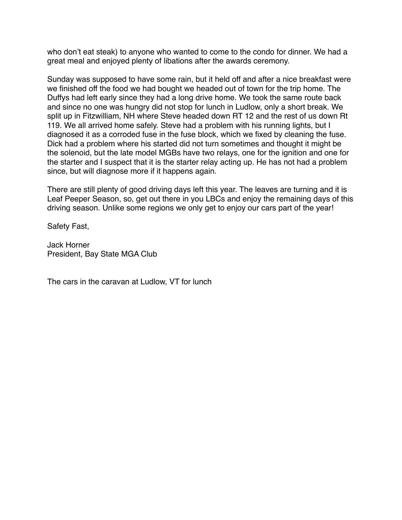who don't eat steak) to anyone who wanted to come to the condo for dinner. We had a great meal and enjoyed plenty of libations after the awards ceremony.

Sunday was supposed to have some rain, but it held off and after a nice breakfast were we finished off the food we had bought we headed out of town for the trip home. The Duffys had left early since they had a long drive home. We took the same route back and since no one was hungry did not stop for lunch in Ludlow, only a short break. We split up in Fitzwilliam, NH where Steve headed down RT 12 and the rest of us down Rt 119. We all arrived home safely. Steve had a problem with his running lights, but I diagnosed it as a corroded fuse in the fuse block, which we fixed by cleaning the fuse. Dick had a problem where his started did not turn sometimes and thought it might be the solenoid, but the late model MGBs have two relays, one for the ignition and one for the starter and I suspect that it is the starter relay acting up. He has not had a problem since, but will diagnose more if it happens again.

There are still plenty of good driving days left this year. The leaves are turning and it is Leaf Peeper Season, so, get out there in you LBCs and enjoy the remaining days of this driving season. Unlike some regions we only get to enjoy our cars part of the year!

Safety Fast,

Jack Horner President, Bay State MGA Club

The cars in the caravan at Ludlow, VT for lunch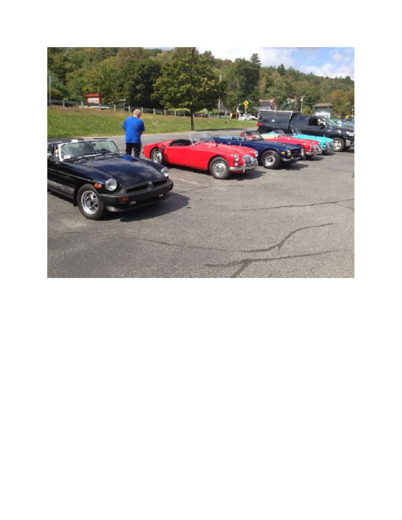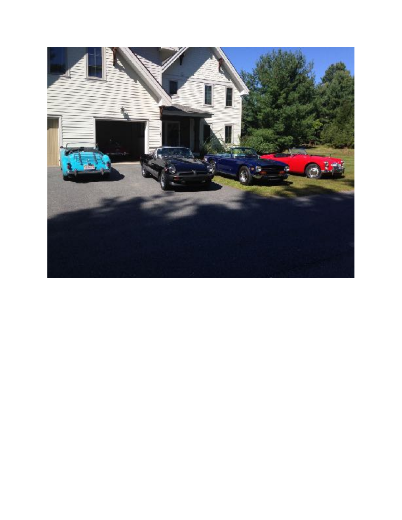